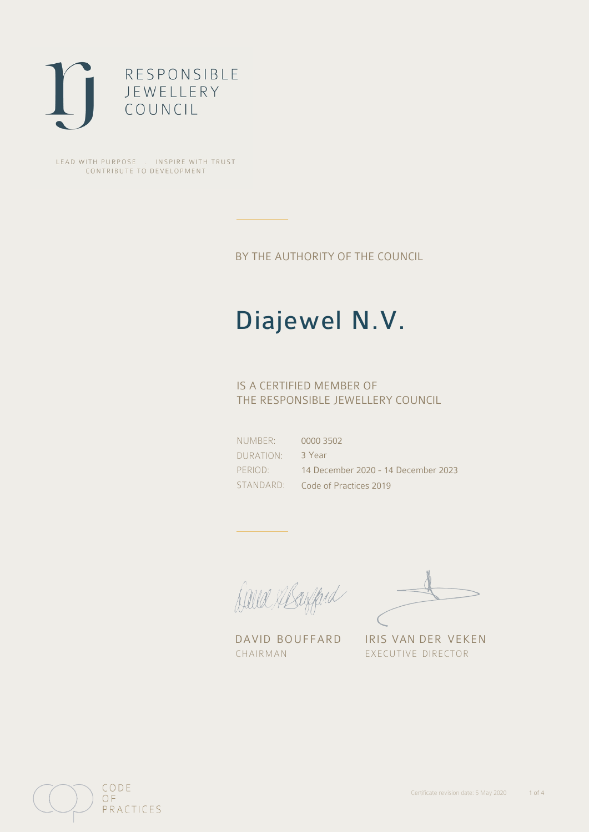

LEAD WITH PURPOSE . INSPIRE WITH TRUST CONTRIBUTE TO DEVELOPMENT

BY THE AUTHORITY OF THE COUNCIL

# Diajewel N.V.

## IS A CERTIFIED MEMBER OF THE RESPONSIBLE JEWELLERY COUNCIL

NUMBER: DURATION: PERIOD: STANDARD: 0000 3502 3 Year 14 December 2020 - 14 December 2023 Code of Practices 2019

Caux Margaret

DAVID BOUFFARD IRIS VAN DER VEKEN CHAIRMAN EXECUTIVE DIRECTOR

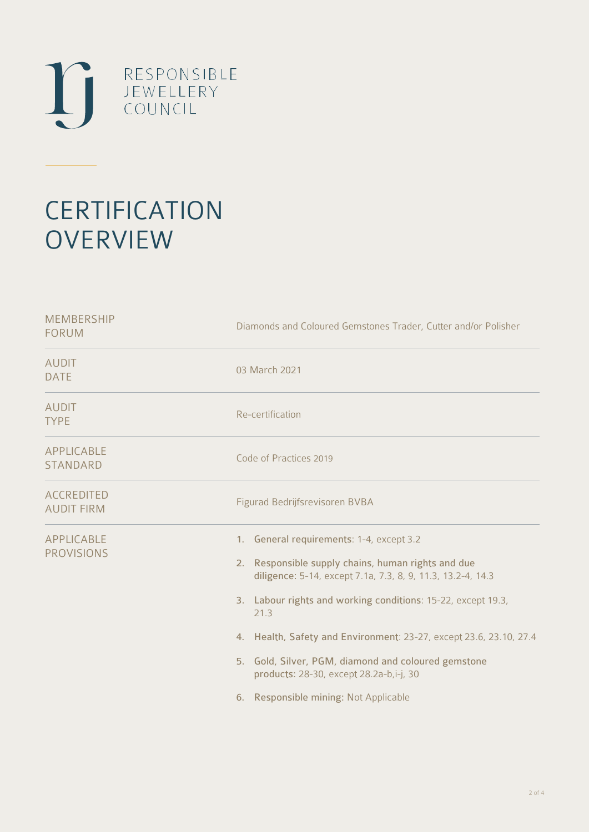

# **CERTIFICATION OVERVIEW**

| Diamonds and Coloured Gemstones Trader, Cutter and/or Polisher                                                                                                                                                                                                                                                                                                                                                                                         |  |  |
|--------------------------------------------------------------------------------------------------------------------------------------------------------------------------------------------------------------------------------------------------------------------------------------------------------------------------------------------------------------------------------------------------------------------------------------------------------|--|--|
| 03 March 2021                                                                                                                                                                                                                                                                                                                                                                                                                                          |  |  |
| Re-certification                                                                                                                                                                                                                                                                                                                                                                                                                                       |  |  |
| Code of Practices 2019                                                                                                                                                                                                                                                                                                                                                                                                                                 |  |  |
| Figurad Bedrijfsrevisoren BVBA                                                                                                                                                                                                                                                                                                                                                                                                                         |  |  |
| 1. General requirements: 1-4, except 3.2<br>2. Responsible supply chains, human rights and due<br>diligence: 5-14, except 7.1a, 7.3, 8, 9, 11.3, 13.2-4, 14.3<br>3. Labour rights and working conditions: 15-22, except 19.3,<br>21.3<br>4. Health, Safety and Environment: 23-27, except 23.6, 23.10, 27.4<br>5. Gold, Silver, PGM, diamond and coloured gemstone<br>products: 28-30, except 28.2a-b,i-j, 30<br>6. Responsible mining: Not Applicable |  |  |
|                                                                                                                                                                                                                                                                                                                                                                                                                                                        |  |  |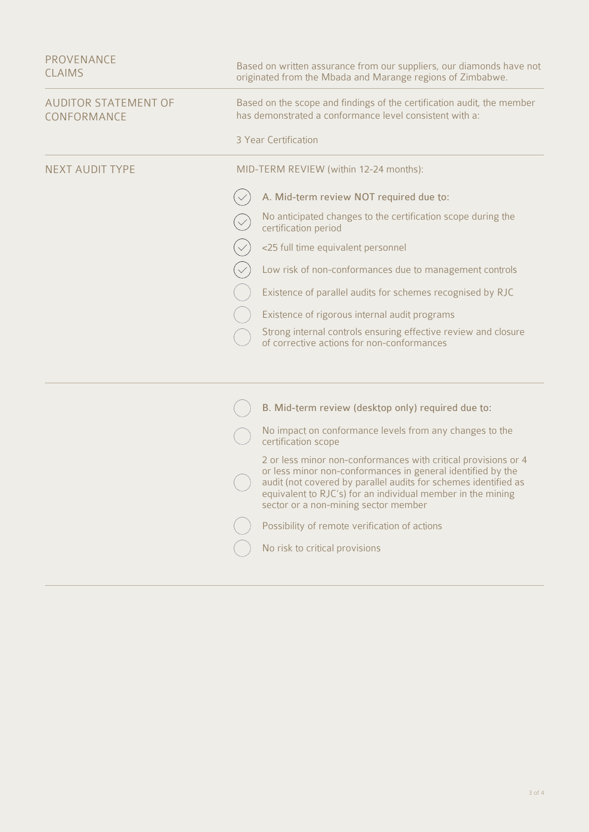| PROVENANCE<br><b>CLAIMS</b>                | Based on written assurance from our suppliers, our diamonds have not<br>originated from the Mbada and Marange regions of Zimbabwe.                        |                                                                                                                                                                                                                                                                                                         |  |
|--------------------------------------------|-----------------------------------------------------------------------------------------------------------------------------------------------------------|---------------------------------------------------------------------------------------------------------------------------------------------------------------------------------------------------------------------------------------------------------------------------------------------------------|--|
| <b>AUDITOR STATEMENT OF</b><br>CONFORMANCE | Based on the scope and findings of the certification audit, the member<br>has demonstrated a conformance level consistent with a:<br>3 Year Certification |                                                                                                                                                                                                                                                                                                         |  |
| <b>NEXT AUDIT TYPE</b>                     | MID-TERM REVIEW (within 12-24 months):                                                                                                                    |                                                                                                                                                                                                                                                                                                         |  |
|                                            |                                                                                                                                                           | A. Mid-term review NOT required due to:                                                                                                                                                                                                                                                                 |  |
|                                            |                                                                                                                                                           | No anticipated changes to the certification scope during the<br>certification period                                                                                                                                                                                                                    |  |
|                                            |                                                                                                                                                           | <25 full time equivalent personnel                                                                                                                                                                                                                                                                      |  |
|                                            |                                                                                                                                                           | Low risk of non-conformances due to management controls                                                                                                                                                                                                                                                 |  |
|                                            |                                                                                                                                                           | Existence of parallel audits for schemes recognised by RJC                                                                                                                                                                                                                                              |  |
|                                            |                                                                                                                                                           | Existence of rigorous internal audit programs                                                                                                                                                                                                                                                           |  |
|                                            |                                                                                                                                                           | Strong internal controls ensuring effective review and closure<br>of corrective actions for non-conformances                                                                                                                                                                                            |  |
|                                            |                                                                                                                                                           |                                                                                                                                                                                                                                                                                                         |  |
|                                            |                                                                                                                                                           | B. Mid-term review (desktop only) required due to:                                                                                                                                                                                                                                                      |  |
|                                            |                                                                                                                                                           | No impact on conformance levels from any changes to the<br>certification scope                                                                                                                                                                                                                          |  |
|                                            |                                                                                                                                                           | 2 or less minor non-conformances with critical provisions or 4<br>or less minor non-conformances in general identified by the<br>audit (not covered by parallel audits for schemes identified as<br>equivalent to RJC's) for an individual member in the mining<br>sector or a non-mining sector member |  |
|                                            |                                                                                                                                                           | Possibility of remote verification of actions                                                                                                                                                                                                                                                           |  |
|                                            |                                                                                                                                                           | No risk to critical provisions                                                                                                                                                                                                                                                                          |  |